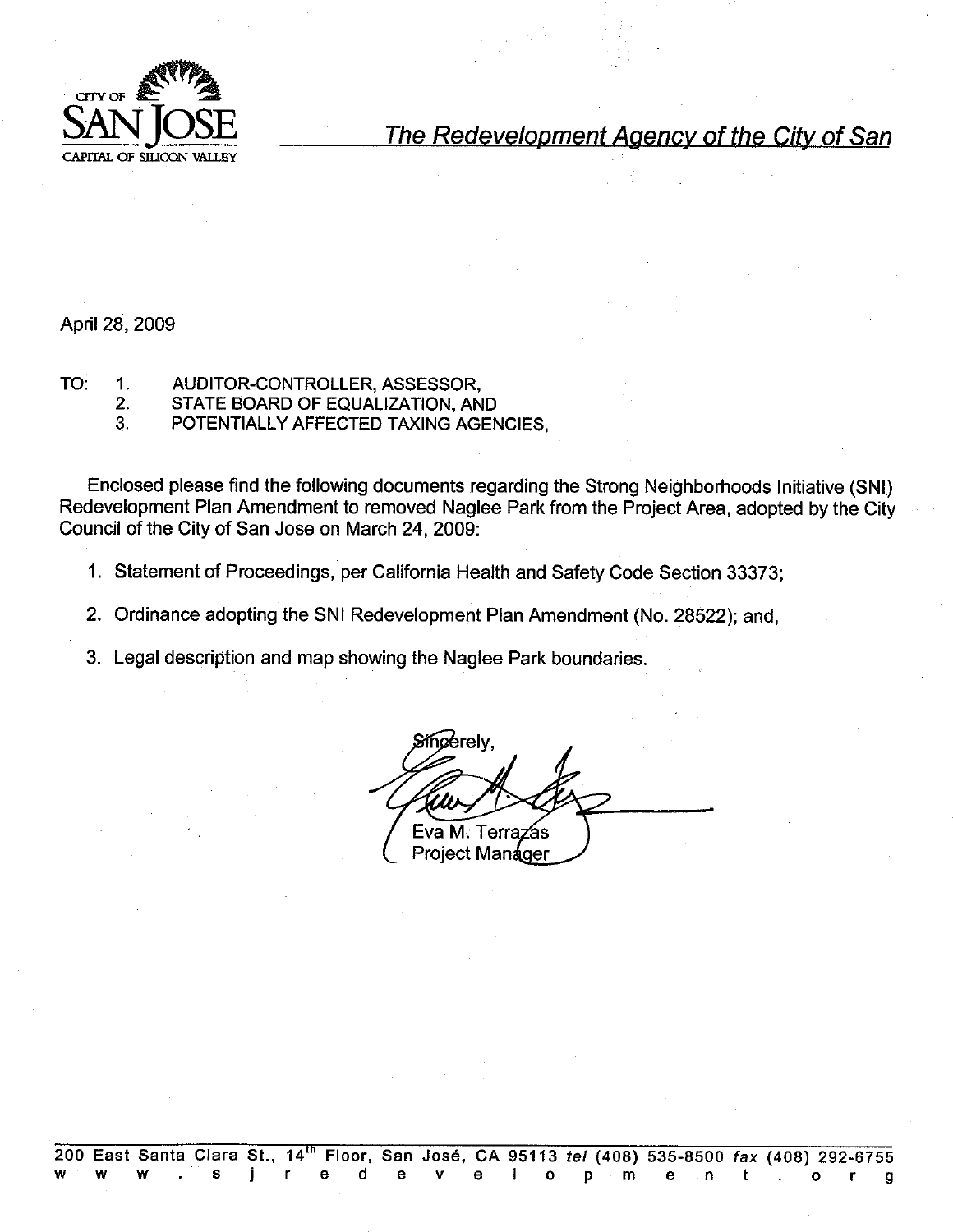

The Redevelopment Agency of the City of San

April 28, 2009

- TO: 1. AUDITOR-CONTROLLER, ASSESSOR,
	- $2.$ STATE BOARD OF EQUALIZATION, AND
	- $3<sub>1</sub>$ POTENTIALLY AFFECTED TAXING AGENCIES.

Enclosed please find the following documents regarding the Strong Neighborhoods Initiative (SNI) Redevelopment Plan Amendment to removed Naglee Park from the Project Area, adopted by the City Council of the City of San Jose on March 24, 2009:

- 1. Statement of Proceedings, per California Health and Safety Code Section 33373;
- 2. Ordinance adopting the SNI Redevelopment Plan Amendment (No. 28522); and.
- 3. Legal description and map showing the Naglee Park boundaries.

Sincerely, Eva M. Terr á۹ **Project Manager**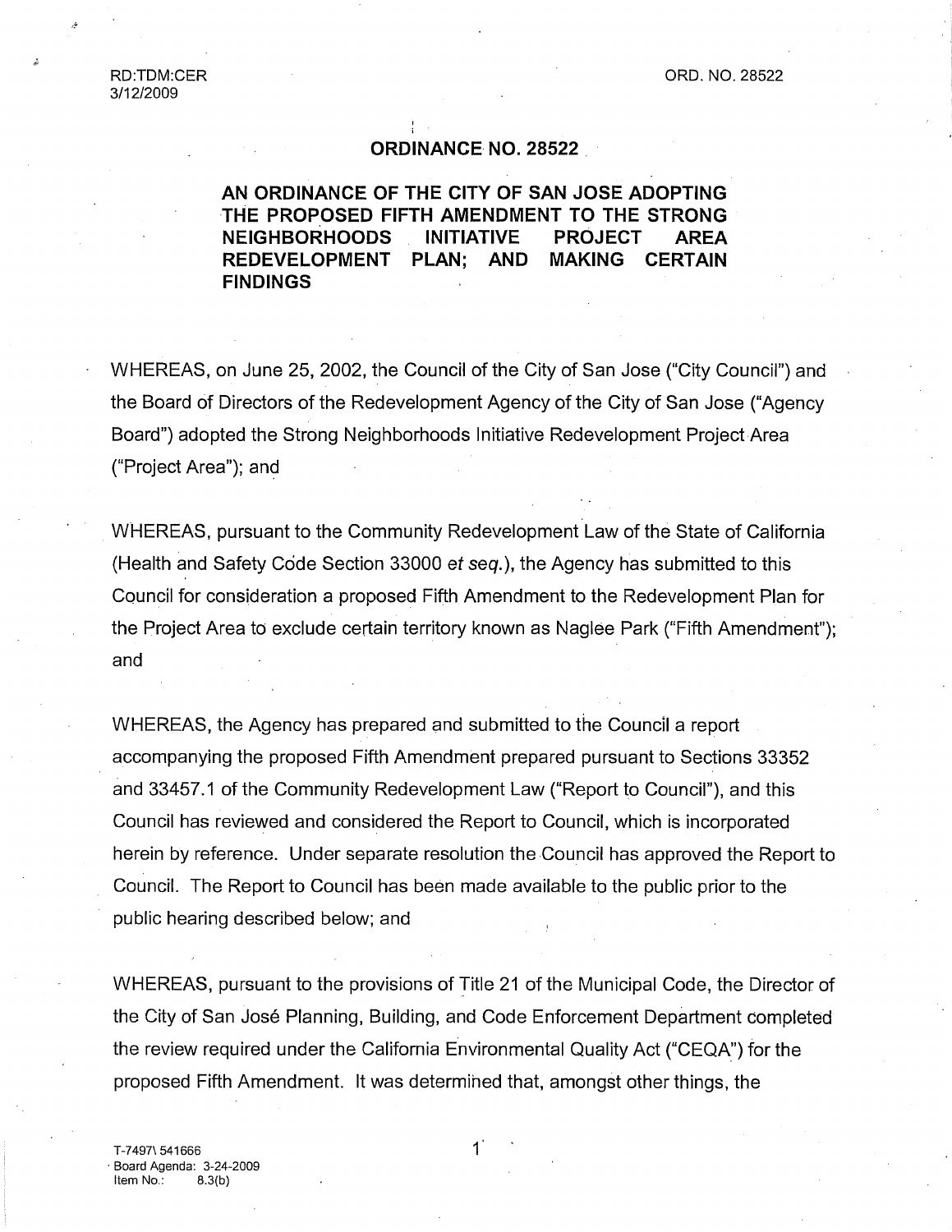## **ORDINANCE, NO. 28522**

# **AN ORDINANCE OF THE CITY OF SAN JOSE ADOPTING THE PROPOSED FIFTH AMENDMENT TO THE STRONG NEIGHBORHOODS INITIATIVE PROJECT AREA REDEVELOPMENT PLAN; AND MAKING CERTAIN FINDINGS**

WHEREAS, on June 25, 2002, the Council of the City of San Jose ("City Council") and the Board of Directors of the Redevelopment Agency of the City of San Jose ("Agency Board") adopted the Strong Neighborhoods Initiative Redevelopment Project.Area ("Project Area"); and

WHEREAS, pursuant to the Community Redevelopment Law of the State of California (Health and Safety Code Section 33000 et seq.), the Agency has submitted to this Council for consideration a proposed Fifth Amendment to the Redevelopment Plan for the Project Area to exclude certain territory known as Naglee Park ("Fifth Amendment"); and

WHEREAS, the Agency has prepared and submitted to the Council a report accompanying the proposed Fifth Amendment prepared pursuant to Sections 33352 and 33457.1 of the Community Redevelopment Law ("Report to Council"), and this Council has reviewed and considered the Report to Council, which is incorporated herein by reference. Under separate resolution the Council has approved the Report to Council. The Report to Council has been made available to the public prior to the public hearing described below; and

WHEREAS, pursuant to the provisions of Title 21 of the Municipal Code, the Director of the City of San José Planning, Building, and Code Enforcement Department completed the review required under the California Environmental Quality Act ("CEQA") for the proposed Fifth Amendment. It was determihed that, amongst other things, the

 $\mathbf{1}$ 

T-7497\ 541666 ¯ Board Agenda: 3-24-2009 Item  $No.: 8.3(b)$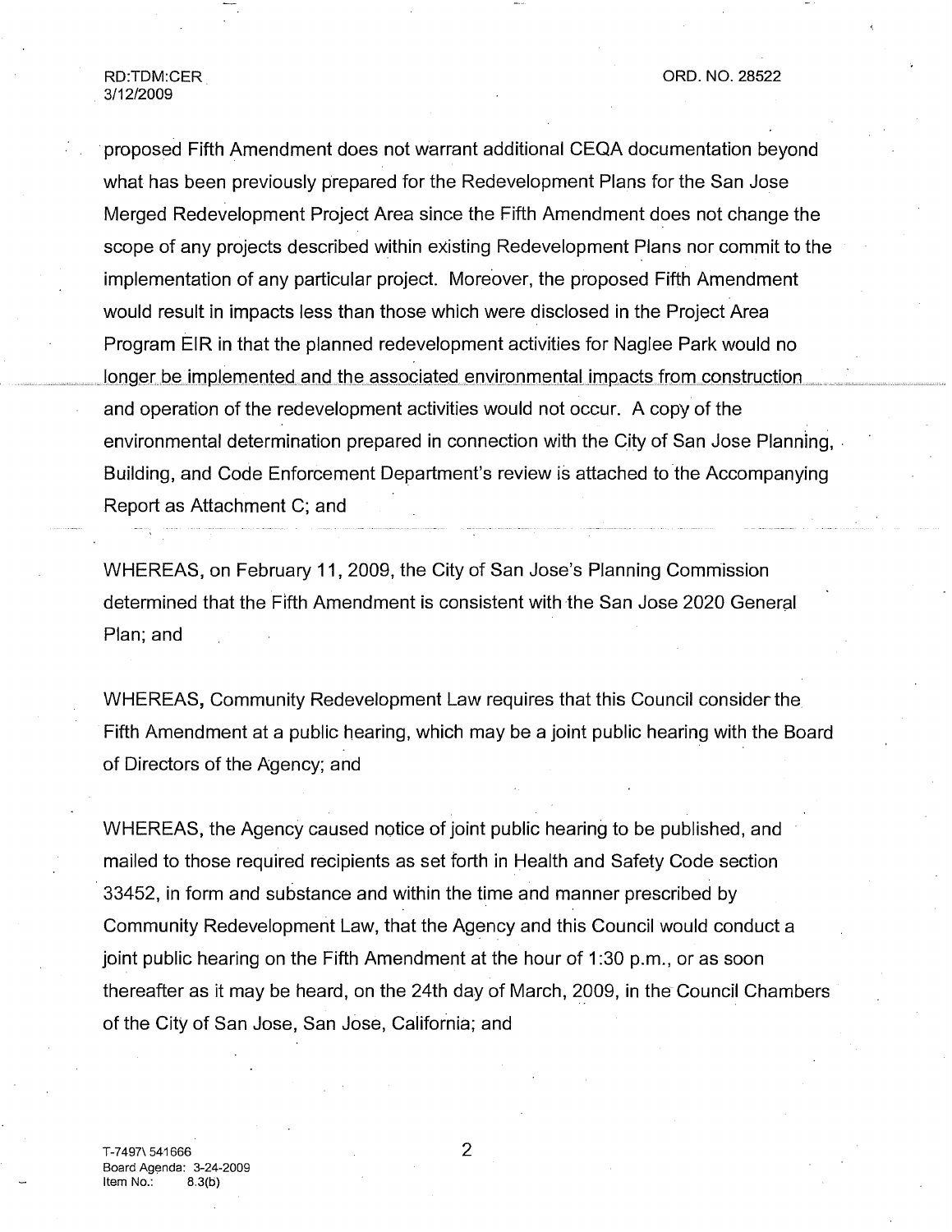ORD. NO. 28522

RD:TDM:CER 3/12/2009

proposed Fifth Amendment does not warrant additional CEQA documentation beyond what has been previously prepared for the Redevelopment Plans for the San Jose Merged Redevelopment Project Area since the Fifth Amendment does not change the scope of any projects described within existing Redevelopment Plans nor commit to the implementation of any particular project. Moreover, the proposed Fifth Amendment would result in impacts less than those which were disclosed in the Project Area Program EIR in that the planned redevelopment activities for Naglee Park would no longer be implemented and the associated environmental impacts from construction and operation of the redevelopment activities would not occur. A copy of the environmental determination prepared in connection with the City of San Jose Planning,. Building, and Code Enforcement Department's review is attached to the Accompanying Report as Attachment C; and

WHEREAS, on February 11,2009, the City of San Jose's Planning Commission determined that the Fifth Amendment is consistent with the San Jose 2020 General Plan; and

WHEREAS, Community Redevelopment Law requires that this Council consider the Fifth Amendment at a public hearing, which may be a joint public hearing with the Board of Directors of the Agency; and

WHEREAS, the Agency caused notice of joint public hearing to be published, and mailed to those required recipients as set forth in Health and Safety Code section 33452, in form and substance and within the time and manner prescribed by Community Redevelopment Law, that the Agency and this Council would conduct a joint public hearing on the Fifth Amendment at the hour of 1:30 p.m., or as soon thereafter as it may be heard, on the 24th day of March, 2009, in the Council Chambers of the City of San Jose, San Jose, California; and

2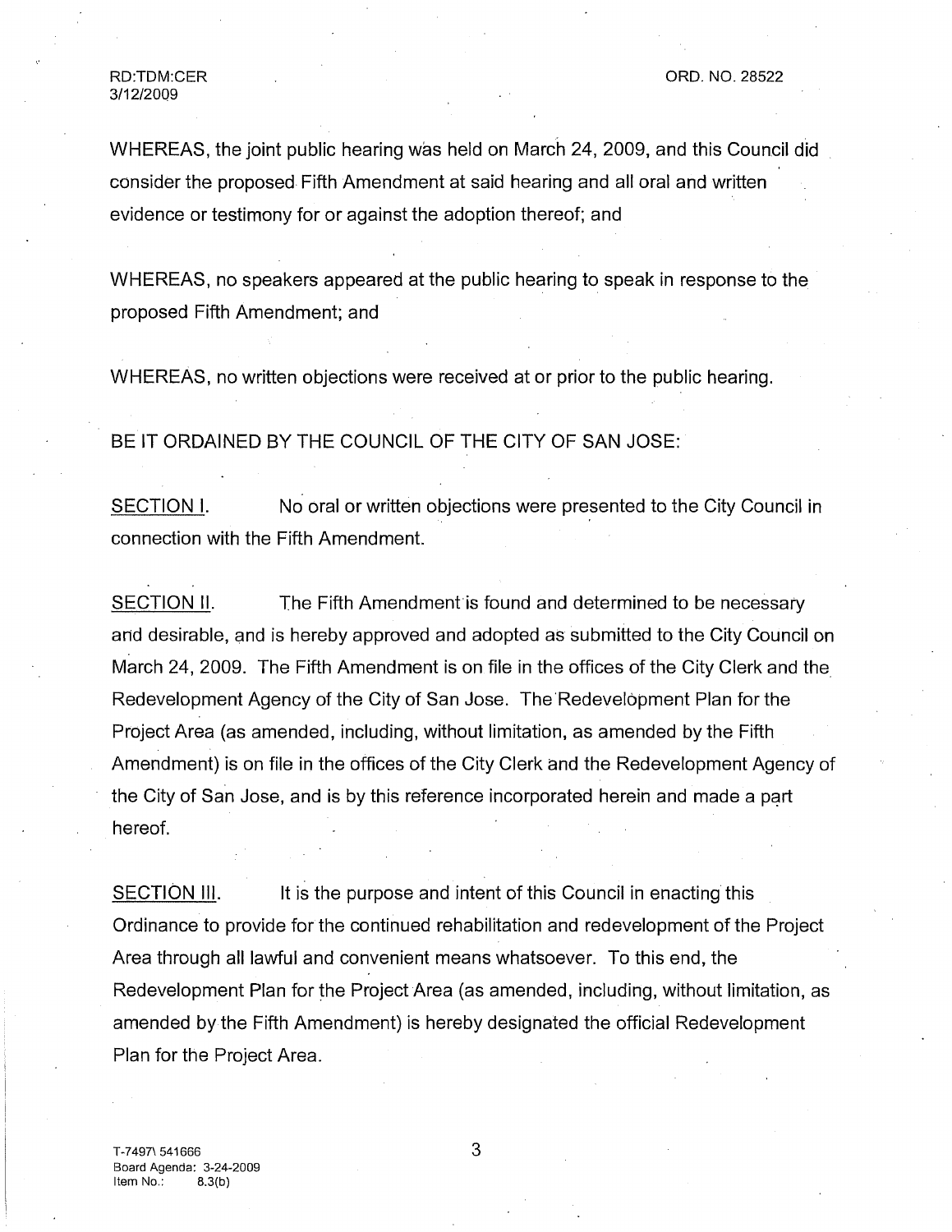WHEREAS, the joint public hearing was held on March 24, 2009, and this Council did consider the proposed. Fifth Amendment at said hearing and all oral and written evidence or testimony for or against the adoption thereof; and

WHEREAS, no speakers appeared at the public hearing to speak in response to the proposed Fifth Amendment; and

WHEREAS, no written objections were received at or prior to the public hearing.

BE IT ORDAINED BY THE COUNCIL OF THE CITY OF SAN JOSE:

SECTION I. No oral or written objections were presented to the City Council in connection with the Fifth Amendment.

SECTION II. The Fifth Amendment is found and determined to be necessary and desirable, and is hereby approved and adopted as submitted to the City Council on March 24, 2009. The Fifth Amendment is on file in the offices of the City Clerk and the Redevelopment Agency of the City of San Jose. The Redevelopment Plan for the Project Area (as amended, including, without limitation, as amended by the Fifth Amendment) is on file in the offices of the City Clerk and the Redevelopment Agency of the City of San Jose, and is by this reference incorporated herein and made a part hereof.

SECTION III. It is the purpose and intent of this Council in enacting this Ordinance to provide for the continued rehabilitation and redevelopment of the Project Area through all lawful and convenient means whatsoever. To this end, the Redevelopment Plan for the Project Area (as amended, including, without limitation, as amended by the Fifth Amendment) is hereby designated the official Redevelopment Plan for the Project Area.

3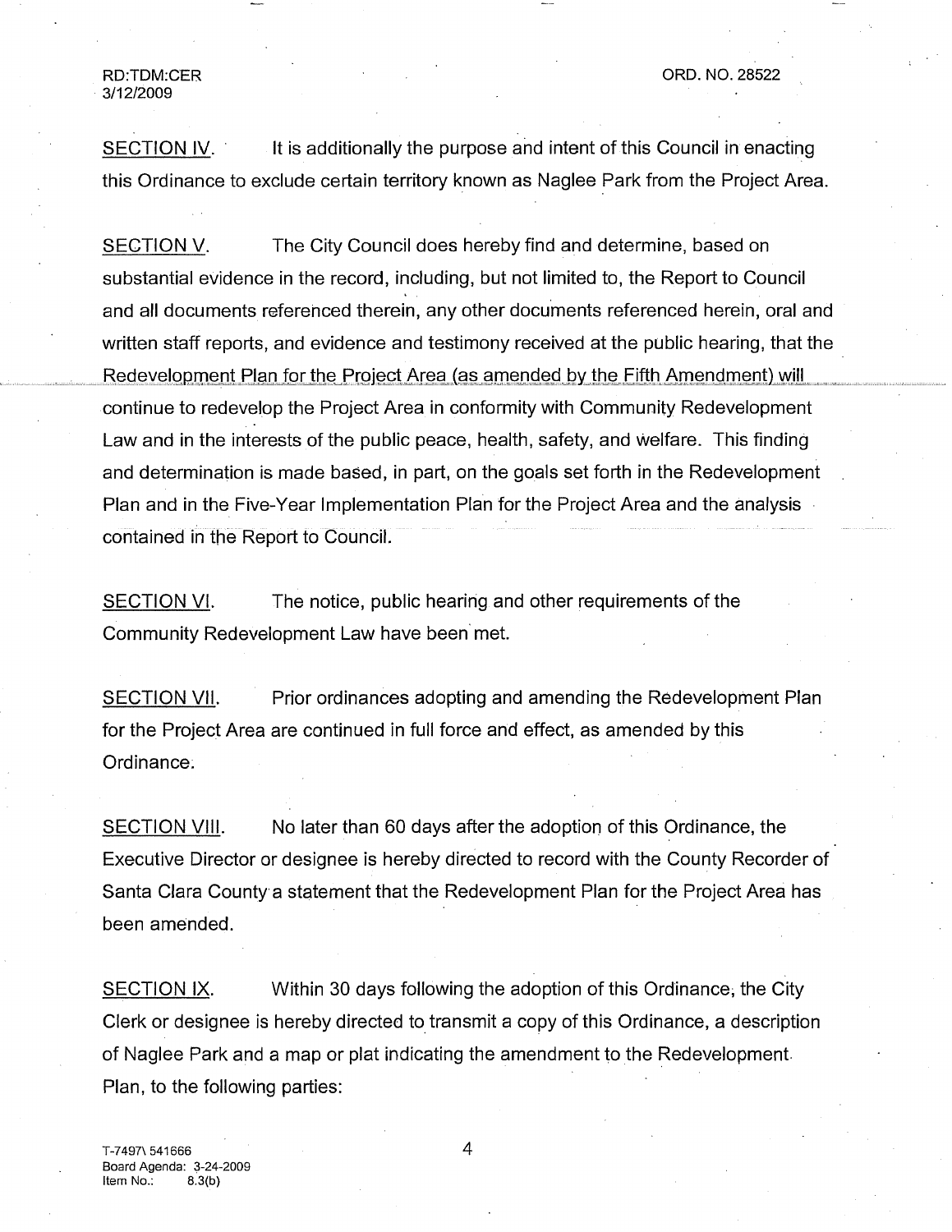¯ 3/12/2009

SECTION IV. It is additionally the purpose and intent of this Council in enacting this Ordinance to exclude certain territory known as Naglee Park from the Project Area.

SECTION V. The City Council does hereby find and determine, based on substantial evidence in the record, including, but not limited to, the Report to Council and all documents referenced therein, any other documents referenced herein, oral and written staff reports, and evidence and testimony received at the public hearing, that the Redevelopment Plan for the Project Area (as amended by the Fifth Amendment) will continue to redevelop the Project Area in conformity with Community Redevelopment Law and in the interests of the public peace, health, safety, and Welfare. This finding and determination is made based, in part, on the goals set forth in the Redevelopment Plan and in the Five-Year Implementation Plan for the Project Area and the analysis contained in the Report to Council.

SECTION VI. The notice, public hearing and other requirements of the Community Redevelopment Law have been met.

SECTION VII. Prior ordinances adopting and amending the Redevelopment Plan for the Project Area are continued in full force and effect, as amended by this Ordinance:

SECTION VIII. No later than 60 days after the adoption of this Ordinance, the Executive Director or designee is hereby directed to record with the County Recorder of Santa Clara County a statement that the Redevelopment Plan for the Project Area has been amended.

SECTION IX. Within 30 days following the adoption of this Ordinance, the City Clerk or designee is hereby directed to transmit a copy of this Ordinance, a description of Naglee Park and a map or plat indicating the amendment to.the Redevelopment. Plan, to the following parties:

4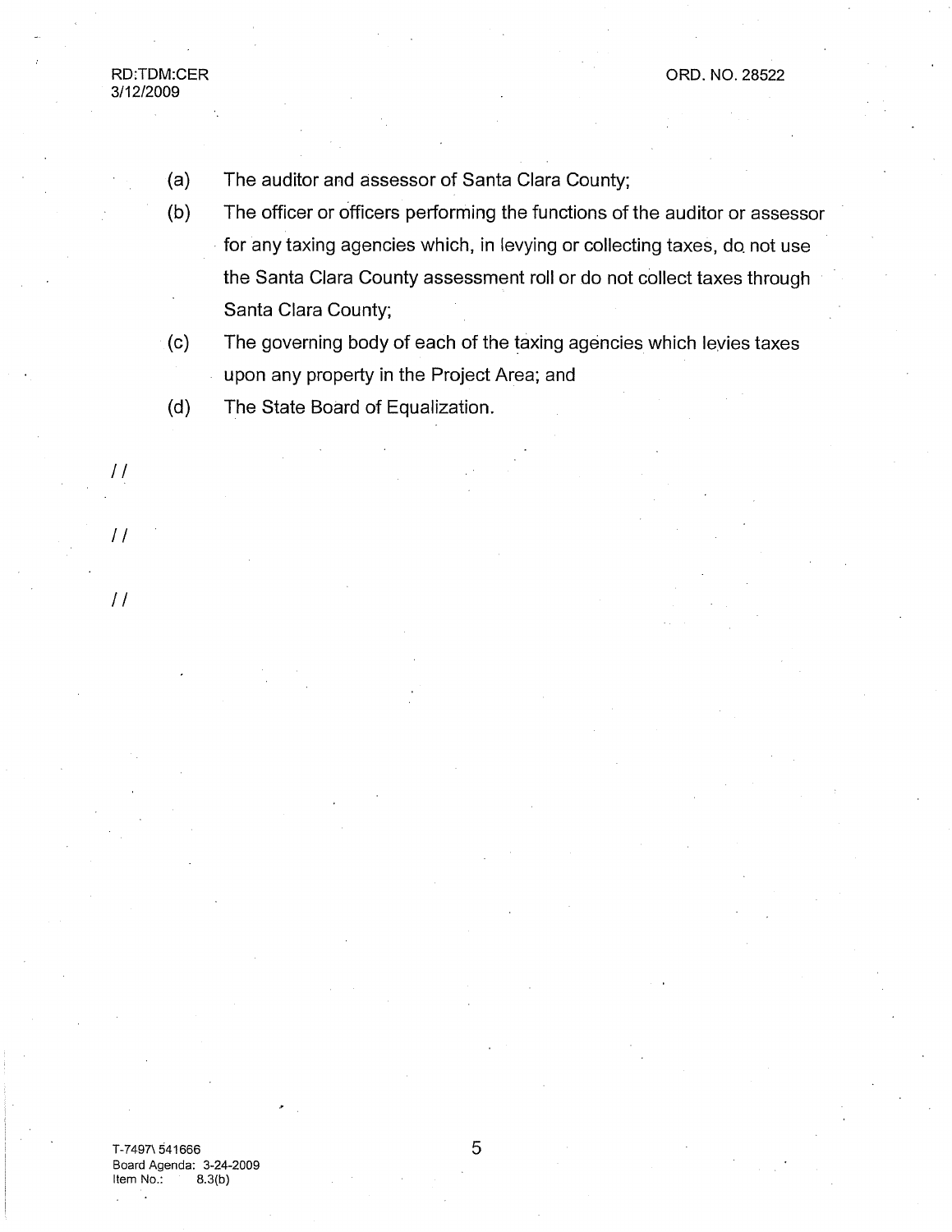- **(a)** The auditor and assessor of Santa Clara County;
- (b) The officer or officers performing the functions of the auditor or assessor for any taxing agencies which, in levying or collecting taxes, do. not use the Santa Clara County assessment roll or do not collect taxes through Santa Clara County;
- $(c)$ The governing body of each of the taxing agencies which levies taxes upon any property in the Project Area; and
- (d) The State Board of Equalization.

RD:TDM:CER 3/12/2009

//

//

//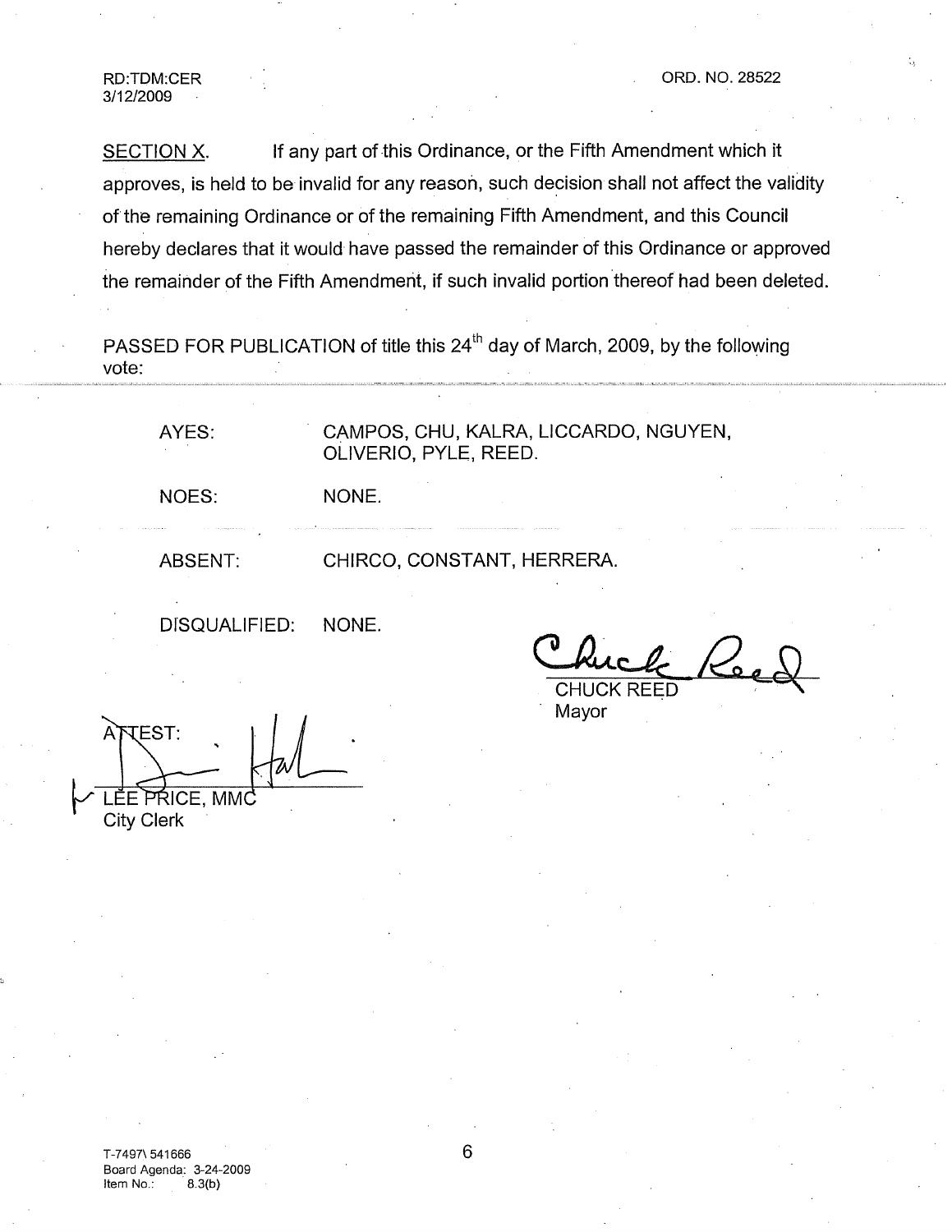3/12/2009

SECTION X. If any part of this Ordinance, or the Fifth Amendment which it approves, is held to be invalid for any reason, such decision shall not affect the validity of the remaining Ordinance or of the remaining Fifth Amendment, and this Council hereby declares that it would have passed the remainder of this Ordinance or approved the remainder of the Fifth Amendment, if such invalid portion thereof had been deleted.

PASSED FOR PUBLICATION of title this 24<sup>th</sup> day of March, 2009, by the following vote:

AYES: CAMPOS, CHU, KALRA, LICCARDO, NGUYEN, OLIVERIO, PYLE, REED.

NOES:

ABSENT: CHIRCO, CONSTANT, HERRERA.

NONE.

DISQUALIFIED: NONE.

**CHUCK** 

Mayor

**TEST:** LEE PRICE, MMC City Clerk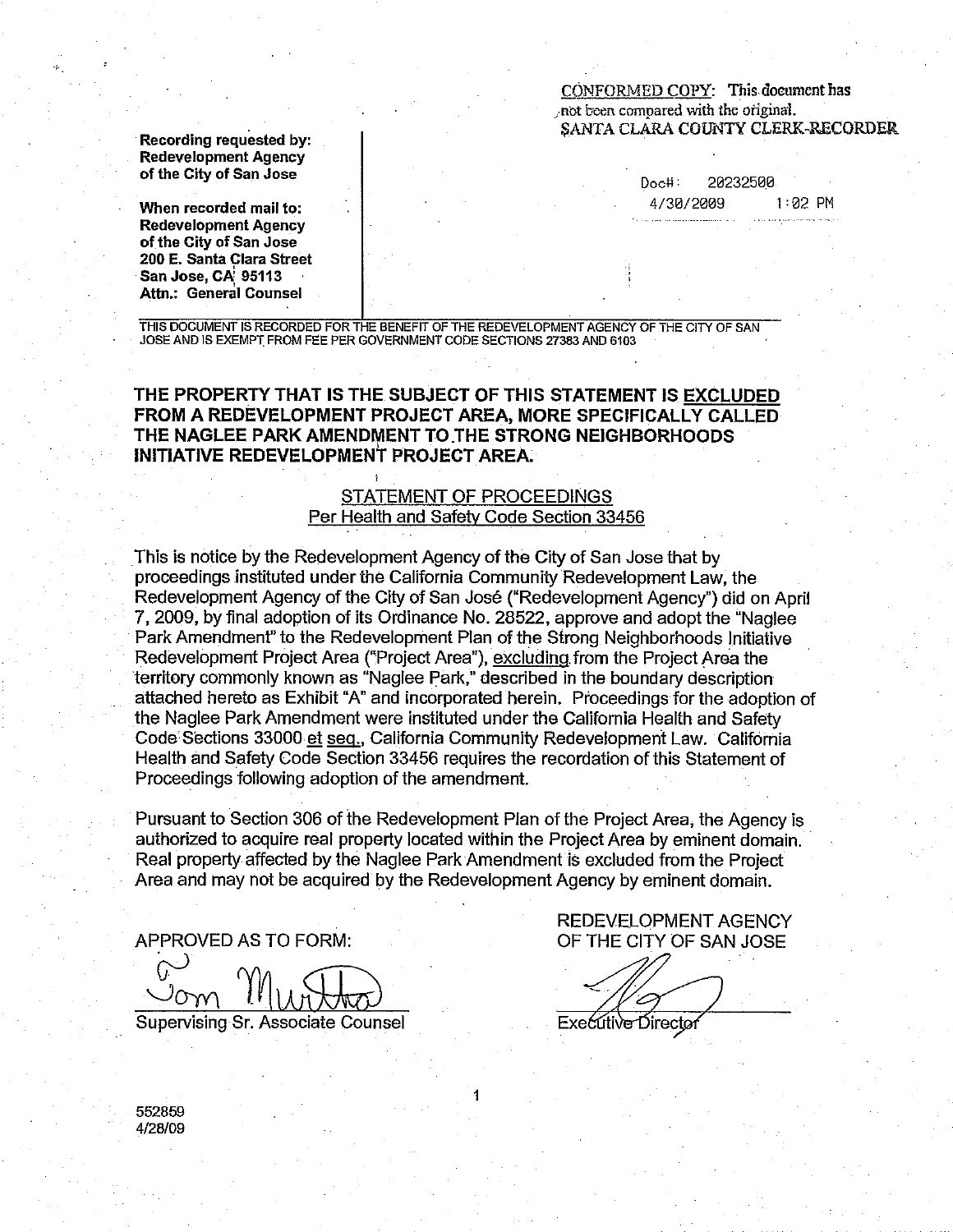CONFORMED COPY: This document has not been compared with the original. SANTA CLARA COUNTY CLERK-RECORDER

Recordina requested by: **Redevelopment Agency** of the City of San Jose

When recorded mail to: **Redevelopment Agency** of the City of San Jose 200 E. Santa Clara Street San Jose, CA 95113 Attn.: General Counsel

20232500  $Doc#$ :  $1:02$  PM 4/30/2009

THIS DOCUMENT IS RECORDED FOR THE BENEFIT OF THE REDEVELOPMENT AGENCY OF THE CITY OF SAN JOSE AND IS EXEMPT FROM FEE PER GOVERNMENT CODE SECTIONS 27383 AND 6103

THE PROPERTY THAT IS THE SUBJECT OF THIS STATEMENT IS EXCLUDED FROM A REDEVELOPMENT PROJECT AREA, MORE SPECIFICALLY CALLED THE NAGLEE PARK AMENDMENT TO THE STRONG NEIGHBORHOODS INITIATIVE REDEVELOPMENT PROJECT AREA.

## **STATEMENT OF PROCEEDINGS** Per Health and Safety Code Section 33456

This is notice by the Redevelopment Agency of the City of San Jose that by proceedings instituted under the California Community Redevelopment Law, the Redevelopment Agency of the City of San José ("Redevelopment Agency") did on April 7, 2009, by final adoption of its Ordinance No. 28522, approve and adopt the "Naglee" Park Amendment" to the Redevelopment Plan of the Strong Neighborhoods Initiative Redevelopment Project Area ("Project Area"), excluding from the Project Area the territory commonly known as "Naglee Park," described in the boundary description attached hereto as Exhibit "A" and incorporated herein. Proceedings for the adoption of the Naglee Park Amendment were instituted under the California Health and Safety Code Sections 33000 et seq., California Community Redevelopment Law. California Health and Safety Code Section 33456 requires the recordation of this Statement of Proceedings following adoption of the amendment.

Pursuant to Section 306 of the Redevelopment Plan of the Project Area, the Agency is authorized to acquire real property located within the Project Area by eminent domain. Real property affected by the Naglee Park Amendment is excluded from the Project Area and may not be acquired by the Redevelopment Agency by eminent domain.

1

APPROVED AS TO FORM:

Supervising Sr. Associate Counsel

**REDEVELOPMENT AGENCY** OF THE CITY OF SAN JOSE

Executive Director

552859 4/28/09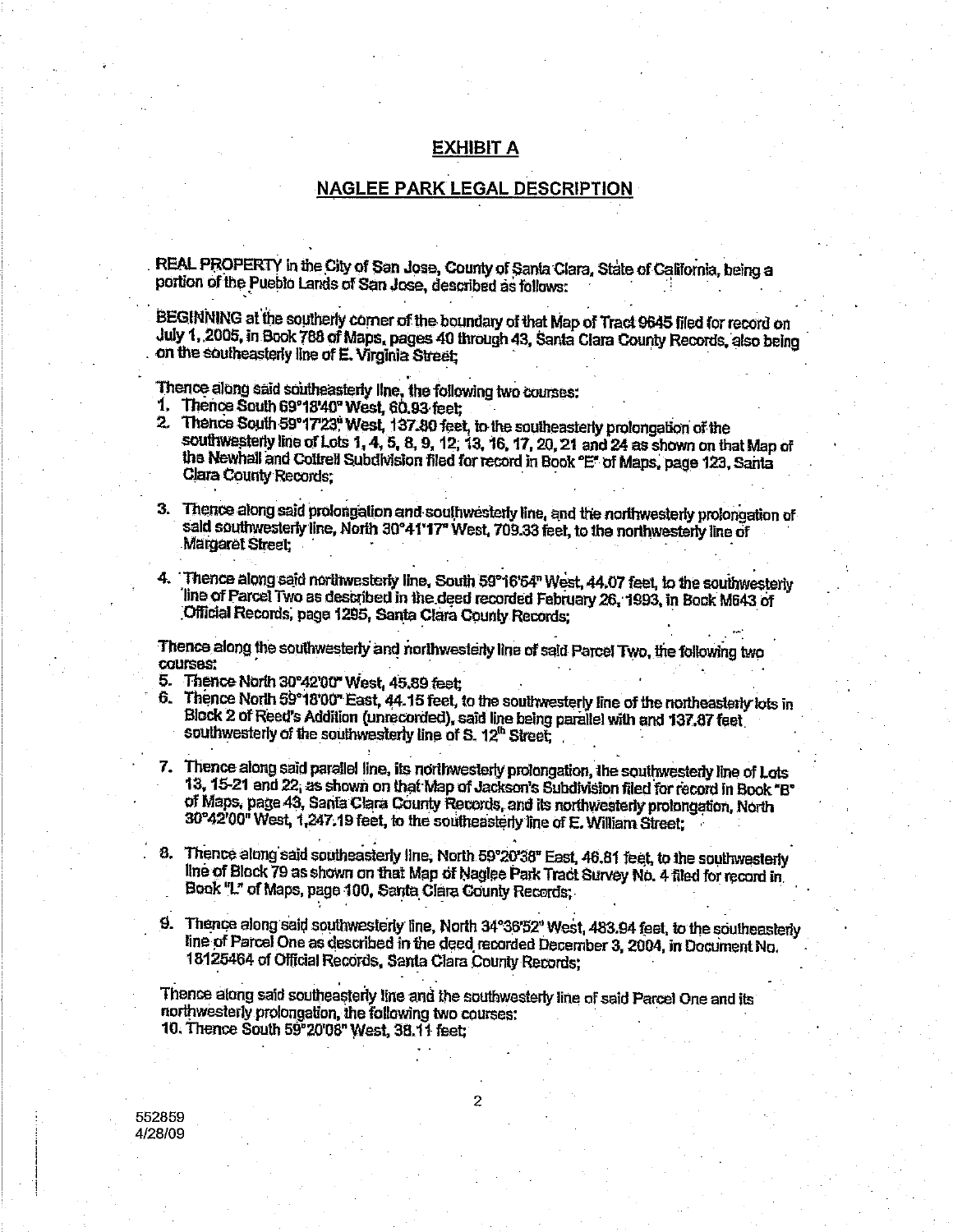### **EXHIBIT A**

#### NAGLEE PARK LEGAL DESCRIPTION

REAL PROPERTY in the City of San Jose, County of Santa Clara, State of California, being a portion of the Pueblo Lands of San Jose, described as follows:

BEGINNING at the southerly corner of the boundary of that Map of Tract 9645 filed for record on July 1, 2005, in Book 788 of Maps, pages 40 through 43, Santa Clara County Records, also being on the southeasterly line of E. Virginia Street;

Thence along said southeasterly line, the following two courses:

- 1. Thence South 69°18'40" West, 60.93 feet:
- 2. Thence South 59°17'23" West, 137.80 feet, to the southeasterly prolongation of the southwesterly line of Lots 1, 4, 5, 8, 9, 12, 13, 16, 17, 20, 21 and 24 as shown on that Map of the Newhall and Cottrell Subdivision filed for record in Book "E" of Mans, page 123, Santa **Clara County Records:**
- 3. Thence along said prolongation and southwesterly line, and the northwesterly prolongation of sald southwesterly line. North 30°41'17" West. 709.33 feet. to the northwesterly line of **Margaret Street:**
- 4. Thence along said northwesterly line, South 59°16'54" West, 44.07 feet, to the southwesterly line of Parcel Two as described in the deed recorded February 26, 1993, in Book M643 of Official Records, page 1295, Santa Clara County Records;

Thence along the southwesterly and northwesterly line of said Parcel Two, the following two **COUTSAS!** 

- 5. Thence North 30°42'00" West, 45.89 feet:
- Thence North 59°18'00" East, 44.15 feet, to the southwesterly line of the northeasterly lots in 6. Block 2 of Reed's Addition (unrecorded), said line being parallel with and 137.87 feet southwesterly of the southwesterly line of S. 12<sup>th</sup> Street,
- 7. Thence along said parallel line, its northwesterly prolongation, the southwesterly line of Lots 13, 15-21 and 22, as shown on that Map of Jackson's Subdivision filed for record in Book "B" of Maps, page 43, Santa Clara County Records, and its northwesterly prolongation, North 30°42'00" West, 1,247.19 feet, to the southeasterly line of E. William Street;
- 8. Thence along said southeasterly line, North 59°20'38" East, 46.81 feet, to the southwesterly line of Block 79 as shown on that Map of Naglee Park Tract Survey No. 4 filed for record in Book "L" of Maps, page 100, Santa Clara County Records;
- 9. Thence along said southwesterly line, North 34°36'52" West, 483.94 feet, to the southeasterly line of Parcel One as described in the deed recorded December 3, 2004, in Document No. 18125464 of Official Records, Santa Clara County Records;

Thence along said southeasterly line and the southwesterly line of said Parcel One and its northwesterly prolongation, the following two courses: 10. Thence South 59°20'08" West, 38.11 feet;

552859 4/28/09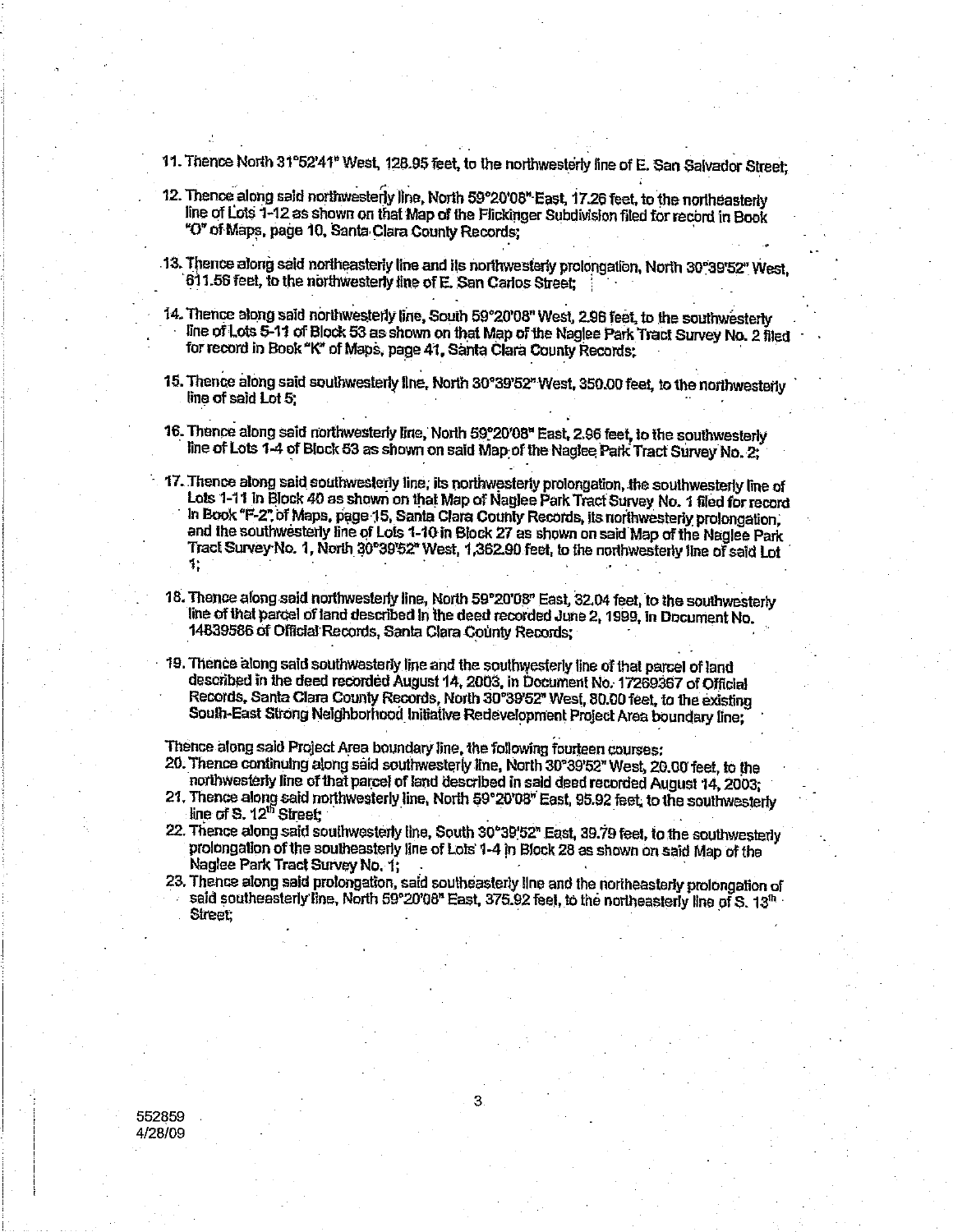11. Thence North 31°52'41" West, 128.95 feet, to the northwesterly line of E. San Salvador Street;

- 12. Thence along said northwesterly line, North 59°20'08" East, 17.26 feet, to the northeasterly line of Lots 1-12 as shown on that Map of the Flickinger Subdivision filed for record in Book "O" of Maps, page 10, Santa Clara County Records;
- 13. Thence along said northeasterly line and its northwesterly prolongation, North 30°39'52" West, 611.56 feet, to the northwesterly line of E. San Carlos Street;
- 14. Thence along said northwesterly line, South 59°20'08" West, 2.96 feet, to the southwesterly line of Lots 5-11 of Block 53 as shown on that Map of the Naglee Park Tract Survey No. 2 filed for record in Book "K" of Maps, page 41, Santa Clara County Records;
- 15. Thence along said southwesterly line. North 30°39'52" West, 350.00 feet, to the northwesterly line of said Lot 5:
- 16. Thence along said northwesterly line, North 59°20'08" East, 2.96 feet, to the southwesterly line of Lots 1-4 of Block 53 as shown on said Map of the Naglee Park Tract Survey No. 2;
- 17. Thence along said southwesterly line, its northwesterly prolongation, the southwesterly line of Lots 1-11 in Block 40 as shown on that Map of Naglee Park Tract Survey No. 1 filed for record In Book "F-2" of Maps, page 15, Santa Clara County Records, its northwesterly prolongation. and the southwesterly line of Lots 1-10 in Block 27 as shown on said Map of the Naglee Park Tract Survey No. 1, North 30°39'52" West, 1,362.90 feet, to the northwesterly line of said Lot 1.
- 18. Thence along said northwesterly line, North 59°20'08" East, 32.04 feet, to the southwesterly line of that parcel of land described in the deed recorded June 2, 1999, in Document No. 14839586 of Official Records, Santa Clara County Records:
- 19. Thence along said southwesterly line and the southwesterly line of that parcel of land described in the deed recorded August 14, 2003, in Document No. 17269367 of Official Records, Santa Clara County Records, North 30°39'52" West, 80.00 feet, to the existing South-East Strong Neighborhood Initiative Redevelopment Project Area boundary line:

Thence along said Project Area boundary line, the following fourteen courses:

- 20. Thence continuing along said southwesterly line, North 30°39'52" West, 20.00 feet, to the northwesterly line of that parcel of land described in said deed recorded August 14, 2003;
- 21. Thence along said northwesterly line, North 59°20'08" East, 95.92 feet, to the southwesterly line of S. 12<sup>th</sup> Street:
- 22. Thence along said southwesterly line, South 30°39'52" East, 39.79 feet, to the southwesterly prolongation of the southeasterly line of Lots 1-4 in Block 28 as shown on said Map of the Naulee Park Tract Survey No. 1,
- 23. Thence along said protongation, said southeasterly line and the northeasterly prolongation of said southeasterly line, North 59°20'08" East, 375.92 feel, to the northeasterly line of S. 13<sup>th</sup> Street:

552859 4/28/09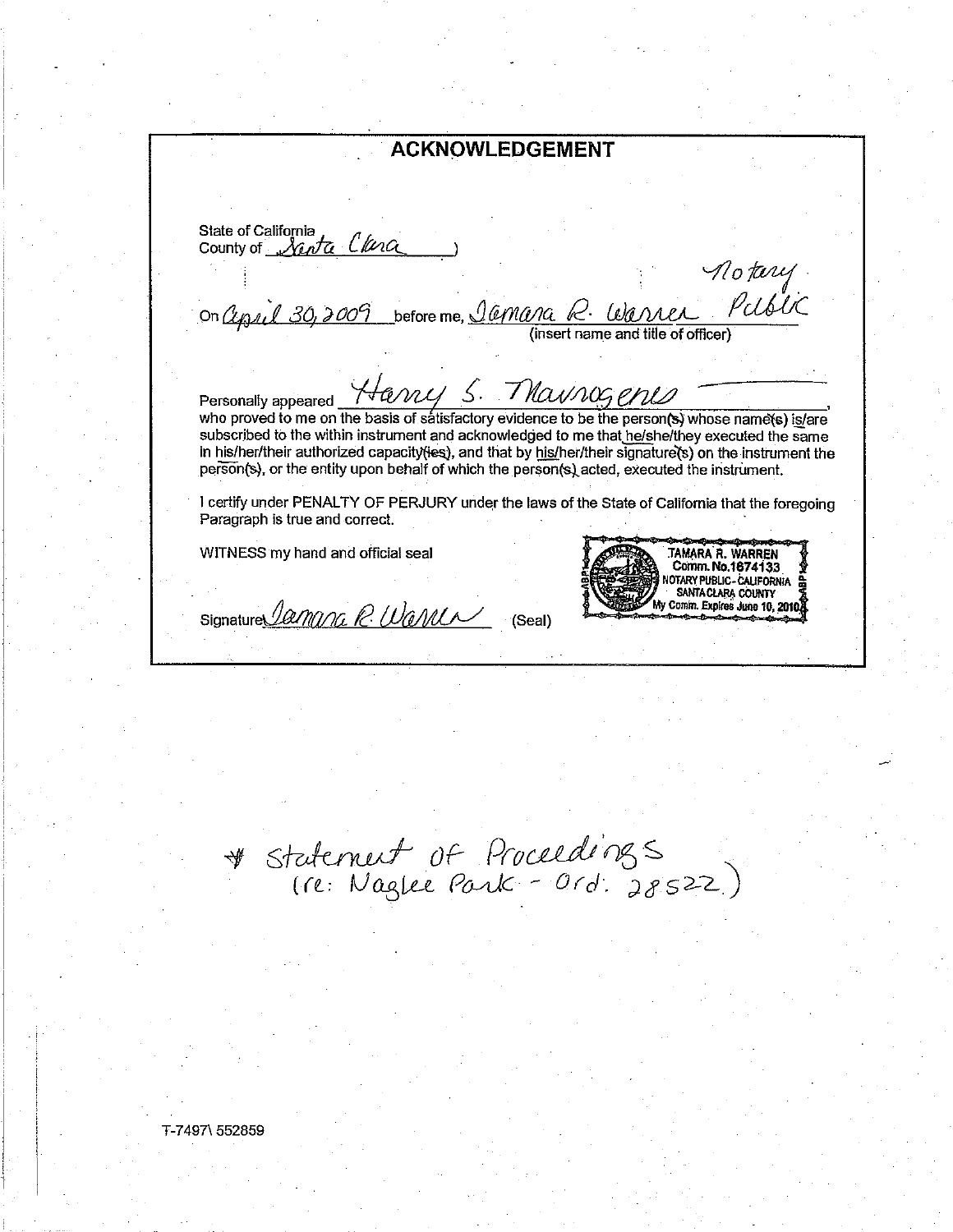**ACKNOWLEDGEMENT** State of California<br>County of *Newta* Clana no tury<br>On Cypril 30, 2009 before me, <u>Jamara R. Warren Public</u> Personally appeared Harvey 5. Maunog ends in the person of the personally appeared who proved to me on the basis of satisfactory evidence to be the person(s) whose name(s) is/are subscribed to the within instrument and acknowledged to me that he/she/they executed the same in his/her/their authorized capacity(jes), and that by his/her/their signature(s) on the instrument the person(s), or the entity upon behalf of which the person(s) acted, executed the instrument. I certify under PENALTY OF PERJURY under the laws of the State of California that the foregoing Paragraph is true and correct. WITNESS my hand and official seal **TAMARA R. WARREN** Comm. No.1674133 NOTARY PUBLIC - CALIFORNIA SANTA CLARA COUNTY Comin. Expires June 10, 2010. Signature *Jamana R. Wande* (Seal)

\* Statement of Proceedings<br>(re: Naglee Park - Ord. 28522)